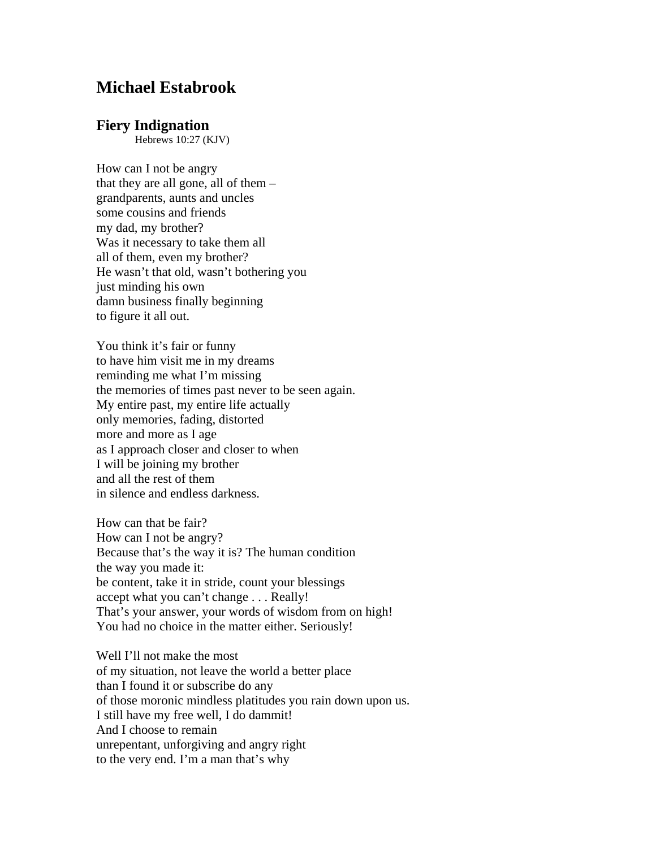## **Michael Estabrook**

## **Fiery Indignation**

Hebrews 10:27 (KJV)

How can I not be angry that they are all gone, all of them – grandparents, aunts and uncles some cousins and friends my dad, my brother? Was it necessary to take them all all of them, even my brother? He wasn't that old, wasn't bothering you just minding his own damn business finally beginning to figure it all out.

You think it's fair or funny to have him visit me in my dreams reminding me what I'm missing the memories of times past never to be seen again. My entire past, my entire life actually only memories, fading, distorted more and more as I age as I approach closer and closer to when I will be joining my brother and all the rest of them in silence and endless darkness.

How can that be fair? How can I not be angry? Because that's the way it is? The human condition the way you made it: be content, take it in stride, count your blessings accept what you can't change . . . Really! That's your answer, your words of wisdom from on high! You had no choice in the matter either. Seriously!

Well I'll not make the most of my situation, not leave the world a better place than I found it or subscribe do any of those moronic mindless platitudes you rain down upon us. I still have my free well, I do dammit! And I choose to remain unrepentant, unforgiving and angry right to the very end. I'm a man that's why